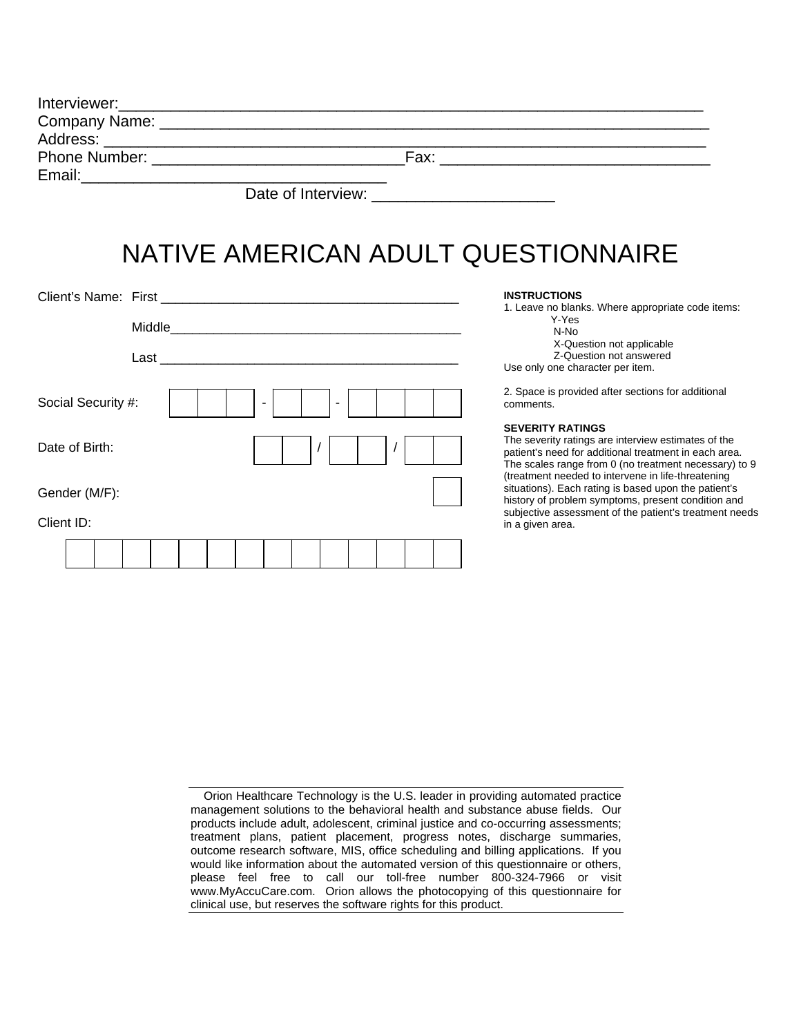| Company Name: _ | <u> 1989 - John Stone, Amerikaansk politiker († 1908)</u> |      |  |
|-----------------|-----------------------------------------------------------|------|--|
|                 |                                                           |      |  |
|                 |                                                           | Fax: |  |
| Email:          |                                                           |      |  |
|                 | Date of Interview:                                        |      |  |

# NATIVE AMERICAN ADULT QUESTIONNAIRE

| Client's Name: First |                |  |   |          |  |  | <b>INSTRUCTIONS</b>                                                                                                                                                                                                                                    |
|----------------------|----------------|--|---|----------|--|--|--------------------------------------------------------------------------------------------------------------------------------------------------------------------------------------------------------------------------------------------------------|
|                      | Middle<br>Last |  |   |          |  |  | 1. Leave no blanks. Where appropriate code items:<br>Y-Yes<br>N-No<br>X-Question not applicable<br>Z-Question not answered<br>Use only one character per item.                                                                                         |
| Social Security #:   |                |  | ٠ | <b>1</b> |  |  | 2. Space is provided after sections for additional<br>comments.                                                                                                                                                                                        |
| Date of Birth:       |                |  |   |          |  |  | <b>SEVERITY RATINGS</b><br>The severity ratings are interview estimates of the<br>patient's need for additional treatment in each area.<br>The scales range from 0 (no treatment necessary) to 9<br>(treatment needed to intervene in life-threatening |
| Gender (M/F):        |                |  |   |          |  |  | situations). Each rating is based upon the patient's<br>history of problem symptoms, present condition and                                                                                                                                             |
| Client ID:           |                |  |   |          |  |  | subjective assessment of the patient's treatment needs<br>in a given area.                                                                                                                                                                             |
|                      |                |  |   |          |  |  |                                                                                                                                                                                                                                                        |

Orion Healthcare Technology is the U.S. leader in providing automated practice management solutions to the behavioral health and substance abuse fields. Our products include adult, adolescent, criminal justice and co-occurring assessments; treatment plans, patient placement, progress notes, discharge summaries, outcome research software, MIS, office scheduling and billing applications. If you would like information about the automated version of this questionnaire or others, please feel free to call our toll-free number 800-324-7966 or visit www.MyAccuCare.com. Orion allows the photocopying of this questionnaire for clinical use, but reserves the software rights for this product.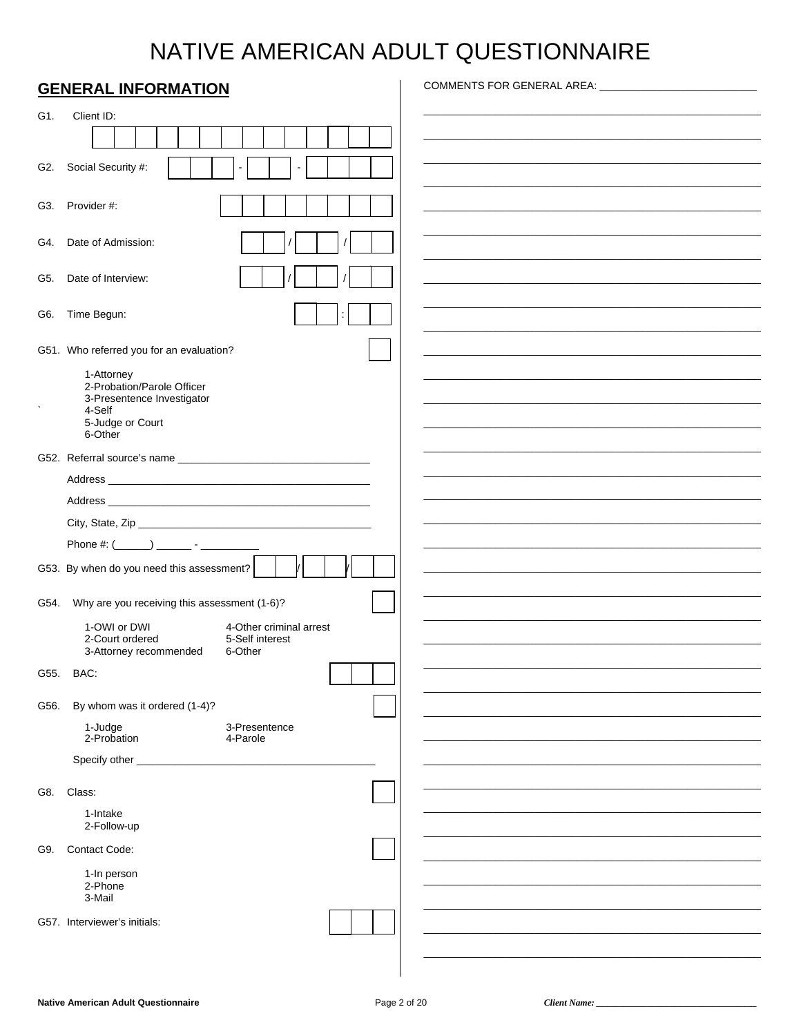# NATIVE AMERICAN ADULT QUESTIONNAIRE

|      | <b>GENERAL INFORMATION</b>                                              | COMMENTS FOR GENERAL AREA: _____________________________ |
|------|-------------------------------------------------------------------------|----------------------------------------------------------|
| G1.  | Client ID:                                                              |                                                          |
|      |                                                                         |                                                          |
|      |                                                                         |                                                          |
| G2.  | Social Security #:                                                      |                                                          |
|      | G3. Provider #:                                                         |                                                          |
| G4.  | Date of Admission:                                                      |                                                          |
| G5.  | Date of Interview:                                                      |                                                          |
| G6.  | Time Begun:                                                             |                                                          |
|      | G51. Who referred you for an evaluation?                                |                                                          |
|      |                                                                         |                                                          |
|      | 1-Attorney<br>2-Probation/Parole Officer                                |                                                          |
|      | 3-Presentence Investigator<br>4-Self                                    |                                                          |
|      | 5-Judge or Court<br>6-Other                                             |                                                          |
|      |                                                                         |                                                          |
|      |                                                                         |                                                          |
|      |                                                                         |                                                          |
|      |                                                                         |                                                          |
|      |                                                                         |                                                          |
|      | G53. By when do you need this assessment?                               |                                                          |
| G54. | Why are you receiving this assessment (1-6)?                            |                                                          |
|      | 1-OWI or DWI<br>4-Other criminal arrest                                 |                                                          |
|      | 2-Court ordered<br>5-Self interest<br>3-Attorney recommended<br>6-Other |                                                          |
| G55. | BAC:                                                                    |                                                          |
|      |                                                                         |                                                          |
| G56. | By whom was it ordered (1-4)?                                           |                                                          |
|      | 1-Judge<br>3-Presentence<br>2-Probation<br>4-Parole                     |                                                          |
|      | Specify other                                                           |                                                          |
| G8.  | Class:                                                                  |                                                          |
|      | 1-Intake                                                                |                                                          |
|      | 2-Follow-up                                                             |                                                          |
| G9.  | <b>Contact Code:</b>                                                    |                                                          |
|      | 1-In person                                                             |                                                          |
|      | 2-Phone<br>3-Mail                                                       |                                                          |
|      | G57. Interviewer's initials:                                            |                                                          |
|      |                                                                         |                                                          |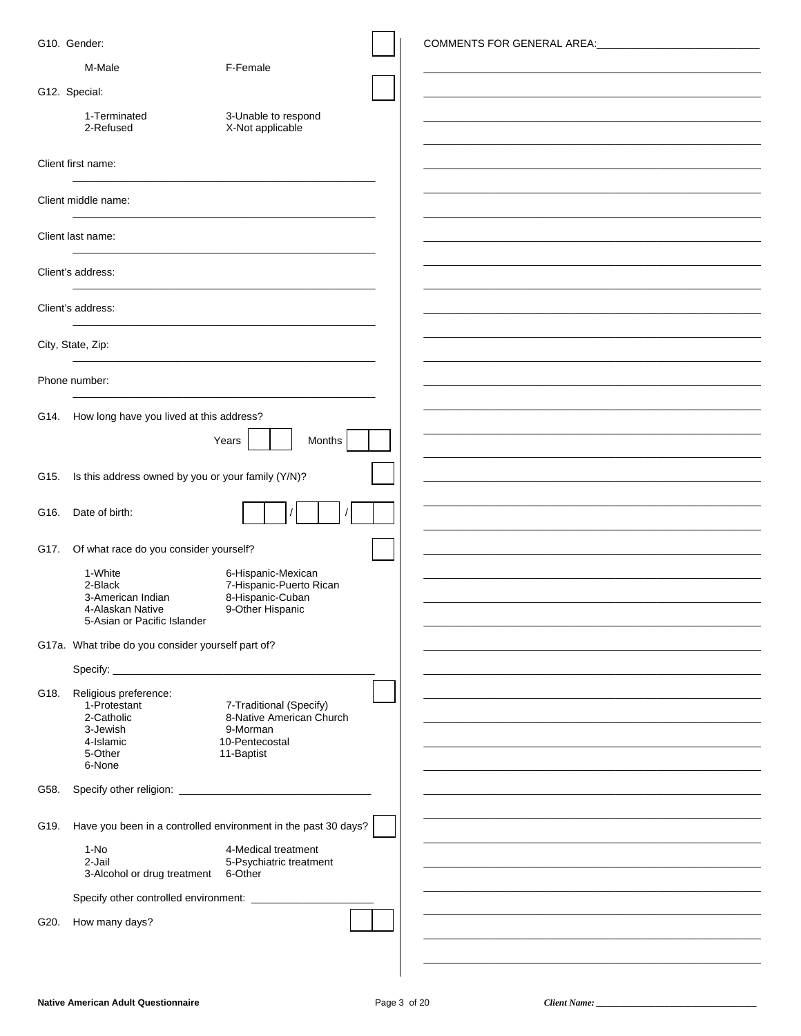|      | G10. Gender:                                       |                                                                | COMMENTS FOR GENERAL AREA: WARD AND THE STATE OF THE STATE OF THE STATE OF THE STATE OF THE STATE OF THE STATE OF THE STATE OF THE STATE OF THE STATE OF THE STATE OF THE STATE OF THE STATE OF THE STATE OF THE STATE OF THE |
|------|----------------------------------------------------|----------------------------------------------------------------|-------------------------------------------------------------------------------------------------------------------------------------------------------------------------------------------------------------------------------|
|      | M-Male                                             | F-Female                                                       |                                                                                                                                                                                                                               |
|      | G12. Special:                                      |                                                                |                                                                                                                                                                                                                               |
|      | 1-Terminated                                       | 3-Unable to respond                                            |                                                                                                                                                                                                                               |
|      | 2-Refused                                          | X-Not applicable                                               |                                                                                                                                                                                                                               |
|      | Client first name:                                 |                                                                |                                                                                                                                                                                                                               |
|      | Client middle name:                                |                                                                |                                                                                                                                                                                                                               |
|      |                                                    |                                                                |                                                                                                                                                                                                                               |
|      | Client last name:                                  |                                                                |                                                                                                                                                                                                                               |
|      | Client's address:                                  |                                                                |                                                                                                                                                                                                                               |
|      | Client's address:                                  |                                                                |                                                                                                                                                                                                                               |
|      | City, State, Zip:                                  |                                                                |                                                                                                                                                                                                                               |
|      |                                                    |                                                                |                                                                                                                                                                                                                               |
|      | Phone number:                                      |                                                                |                                                                                                                                                                                                                               |
|      | G14. How long have you lived at this address?      |                                                                |                                                                                                                                                                                                                               |
|      |                                                    | Months<br>Years                                                |                                                                                                                                                                                                                               |
| G15. | Is this address owned by you or your family (Y/N)? |                                                                |                                                                                                                                                                                                                               |
|      |                                                    |                                                                |                                                                                                                                                                                                                               |
| G16. | Date of birth:                                     |                                                                |                                                                                                                                                                                                                               |
| G17. | Of what race do you consider yourself?             |                                                                |                                                                                                                                                                                                                               |
|      | 1-White<br>2-Black                                 | 6-Hispanic-Mexican                                             |                                                                                                                                                                                                                               |
|      | 3-American Indian                                  | 7-Hispanic-Puerto Rican<br>8-Hispanic-Cuban                    |                                                                                                                                                                                                                               |
|      | 4-Alaskan Native<br>5-Asian or Pacific Islander    | 9-Other Hispanic                                               |                                                                                                                                                                                                                               |
|      | G17a. What tribe do you consider yourself part of? |                                                                |                                                                                                                                                                                                                               |
|      |                                                    |                                                                |                                                                                                                                                                                                                               |
| G18. | Religious preference:                              |                                                                |                                                                                                                                                                                                                               |
|      | 1-Protestant<br>2-Catholic                         | 7-Traditional (Specify)<br>8-Native American Church            |                                                                                                                                                                                                                               |
|      | 3-Jewish<br>4-Islamic                              | 9-Morman<br>10-Pentecostal                                     |                                                                                                                                                                                                                               |
|      | 5-Other<br>6-None                                  | 11-Baptist                                                     |                                                                                                                                                                                                                               |
| G58. |                                                    |                                                                |                                                                                                                                                                                                                               |
|      |                                                    |                                                                |                                                                                                                                                                                                                               |
| G19. |                                                    | Have you been in a controlled environment in the past 30 days? |                                                                                                                                                                                                                               |
|      | 1-No<br>2-Jail                                     | 4-Medical treatment                                            |                                                                                                                                                                                                                               |
|      | 3-Alcohol or drug treatment                        | 5-Psychiatric treatment<br>6-Other                             |                                                                                                                                                                                                                               |
|      |                                                    |                                                                |                                                                                                                                                                                                                               |
| G20. | How many days?                                     |                                                                |                                                                                                                                                                                                                               |
|      |                                                    |                                                                |                                                                                                                                                                                                                               |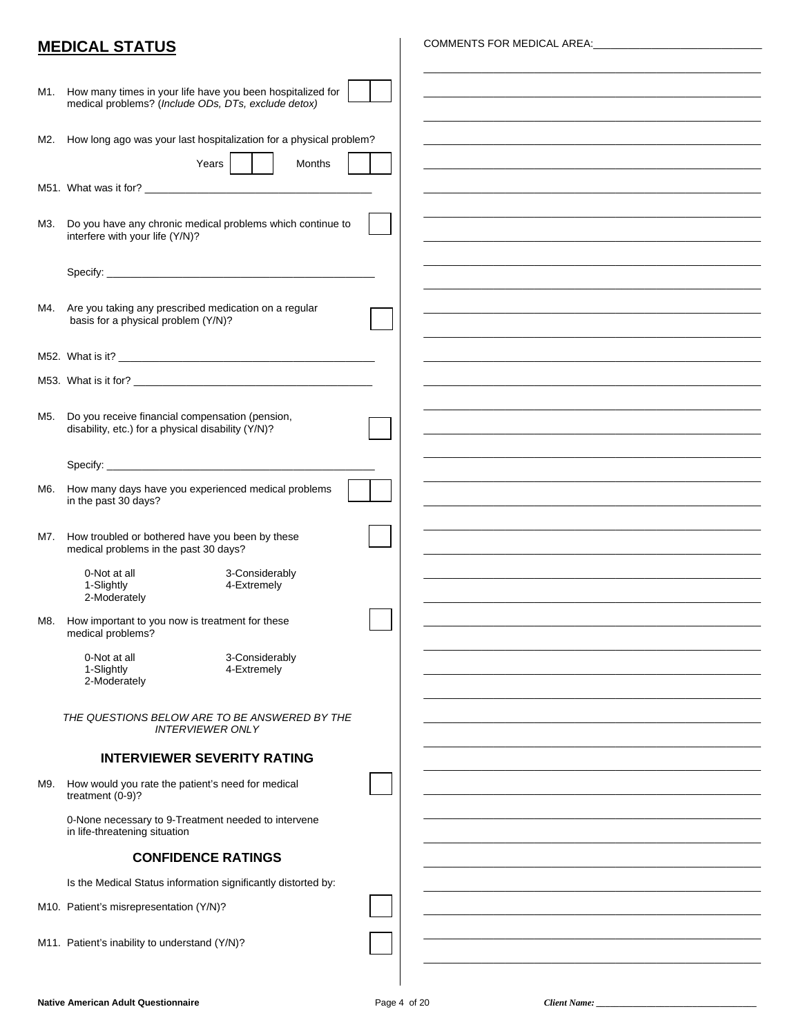## **MEDICAL STATUS**

COMMENTS FOR MEDICAL AREA:

| M1. | How many times in your life have you been hospitalized for<br>medical problems? (Include ODs, DTs, exclude detox) |  |
|-----|-------------------------------------------------------------------------------------------------------------------|--|
| M2. | How long ago was your last hospitalization for a physical problem?                                                |  |
|     | Months<br>Years                                                                                                   |  |
|     |                                                                                                                   |  |
|     |                                                                                                                   |  |
| M3. | Do you have any chronic medical problems which continue to<br>interfere with your life (Y/N)?                     |  |
|     |                                                                                                                   |  |
|     |                                                                                                                   |  |
| M4. | Are you taking any prescribed medication on a regular<br>basis for a physical problem (Y/N)?                      |  |
|     |                                                                                                                   |  |
|     | M52. What is it?                                                                                                  |  |
|     |                                                                                                                   |  |
| M5. | Do you receive financial compensation (pension,<br>disability, etc.) for a physical disability (Y/N)?             |  |
|     |                                                                                                                   |  |
|     |                                                                                                                   |  |
| M6. | How many days have you experienced medical problems<br>in the past 30 days?                                       |  |
| M7. | How troubled or bothered have you been by these<br>medical problems in the past 30 days?                          |  |
|     | 0-Not at all<br>3-Considerably<br>1-Slightly<br>4-Extremely<br>2-Moderately                                       |  |
| M8. | How important to you now is treatment for these<br>medical problems?                                              |  |
|     | 0-Not at all<br>3-Considerably                                                                                    |  |
|     | 1-Slightly<br>4-Extremely<br>2-Moderately                                                                         |  |
|     |                                                                                                                   |  |
|     | THE QUESTIONS BELOW ARE TO BE ANSWERED BY THE<br><b>INTERVIEWER ONLY</b>                                          |  |
|     | <b>INTERVIEWER SEVERITY RATING</b>                                                                                |  |
| M9. | How would you rate the patient's need for medical<br>treatment (0-9)?                                             |  |
|     | 0-None necessary to 9-Treatment needed to intervene<br>in life-threatening situation                              |  |
|     | <b>CONFIDENCE RATINGS</b>                                                                                         |  |
|     | Is the Medical Status information significantly distorted by:                                                     |  |
|     | M10. Patient's misrepresentation (Y/N)?                                                                           |  |
|     |                                                                                                                   |  |
|     | M11. Patient's inability to understand (Y/N)?                                                                     |  |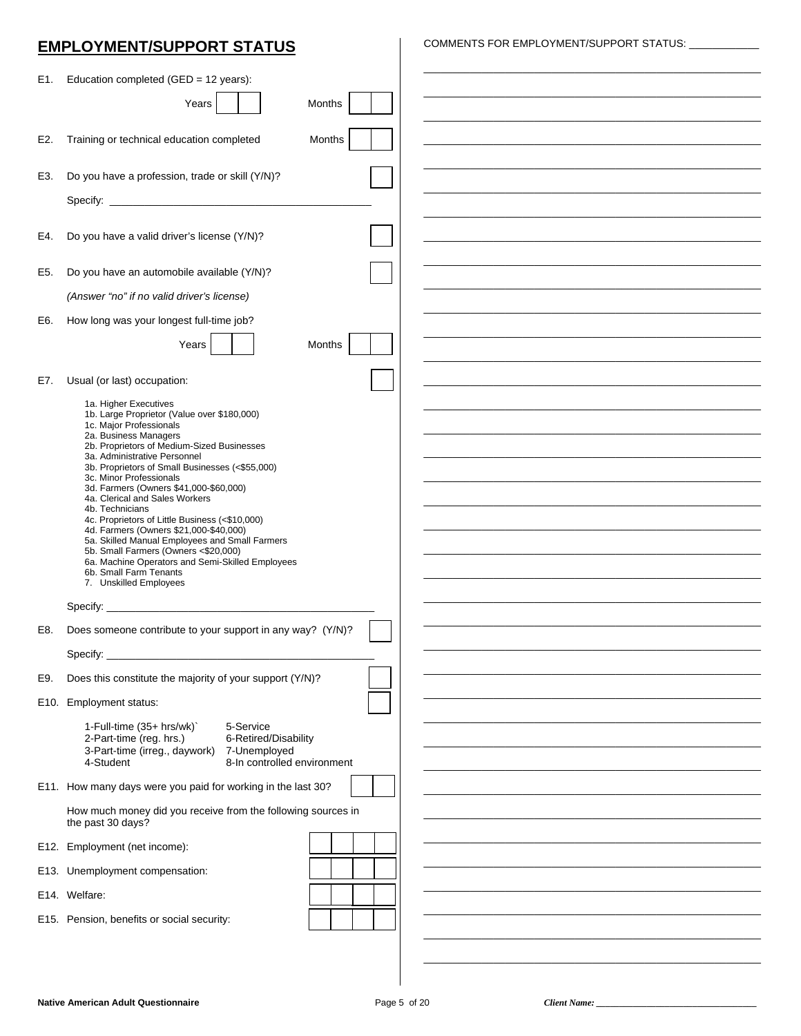## **EMPLOYMENT/SUPPORT STATUS**

COMMENTS FOR EMPLOYMENT/SUPPORT STATUS:

| E1. | Education completed (GED = 12 years):                                                                              |  |
|-----|--------------------------------------------------------------------------------------------------------------------|--|
|     | Years<br>Months                                                                                                    |  |
|     |                                                                                                                    |  |
| E2. | Training or technical education completed<br>Months                                                                |  |
| E3. | Do you have a profession, trade or skill (Y/N)?                                                                    |  |
|     |                                                                                                                    |  |
|     |                                                                                                                    |  |
| E4. | Do you have a valid driver's license (Y/N)?                                                                        |  |
| E5. | Do you have an automobile available (Y/N)?                                                                         |  |
|     | (Answer "no" if no valid driver's license)                                                                         |  |
| E6. | How long was your longest full-time job?                                                                           |  |
|     | Years<br><b>Months</b>                                                                                             |  |
| E7. | Usual (or last) occupation:                                                                                        |  |
|     | 1a. Higher Executives                                                                                              |  |
|     | 1b. Large Proprietor (Value over \$180,000)<br>1c. Major Professionals                                             |  |
|     | 2a. Business Managers<br>2b. Proprietors of Medium-Sized Businesses                                                |  |
|     | 3a. Administrative Personnel<br>3b. Proprietors of Small Businesses (<\$55,000)<br>3c. Minor Professionals         |  |
|     | 3d. Farmers (Owners \$41,000-\$60,000)<br>4a. Clerical and Sales Workers                                           |  |
|     | 4b. Technicians<br>4c. Proprietors of Little Business (<\$10,000)                                                  |  |
|     | 4d. Farmers (Owners \$21,000-\$40,000)<br>5a. Skilled Manual Employees and Small Farmers                           |  |
|     | 5b. Small Farmers (Owners <\$20,000)<br>6a. Machine Operators and Semi-Skilled Employees<br>6b. Small Farm Tenants |  |
|     | 7. Unskilled Employees                                                                                             |  |
|     |                                                                                                                    |  |
| E8. | Does someone contribute to your support in any way? (Y/N)?                                                         |  |
|     | Specify:                                                                                                           |  |
| E9. | Does this constitute the majority of your support (Y/N)?                                                           |  |
|     | E10. Employment status:                                                                                            |  |
|     | 1-Full-time (35+ hrs/wk)`<br>5-Service<br>2-Part-time (reg. hrs.)<br>6-Retired/Disability                          |  |
|     | 3-Part-time (irreg., daywork) 7-Unemployed<br>8-In controlled environment<br>4-Student                             |  |
|     | E11. How many days were you paid for working in the last 30?                                                       |  |
|     | How much money did you receive from the following sources in<br>the past 30 days?                                  |  |
|     | E12. Employment (net income):                                                                                      |  |
|     | E13. Unemployment compensation:                                                                                    |  |
|     | E14. Welfare:                                                                                                      |  |
|     | E15. Pension, benefits or social security:                                                                         |  |
|     |                                                                                                                    |  |
|     |                                                                                                                    |  |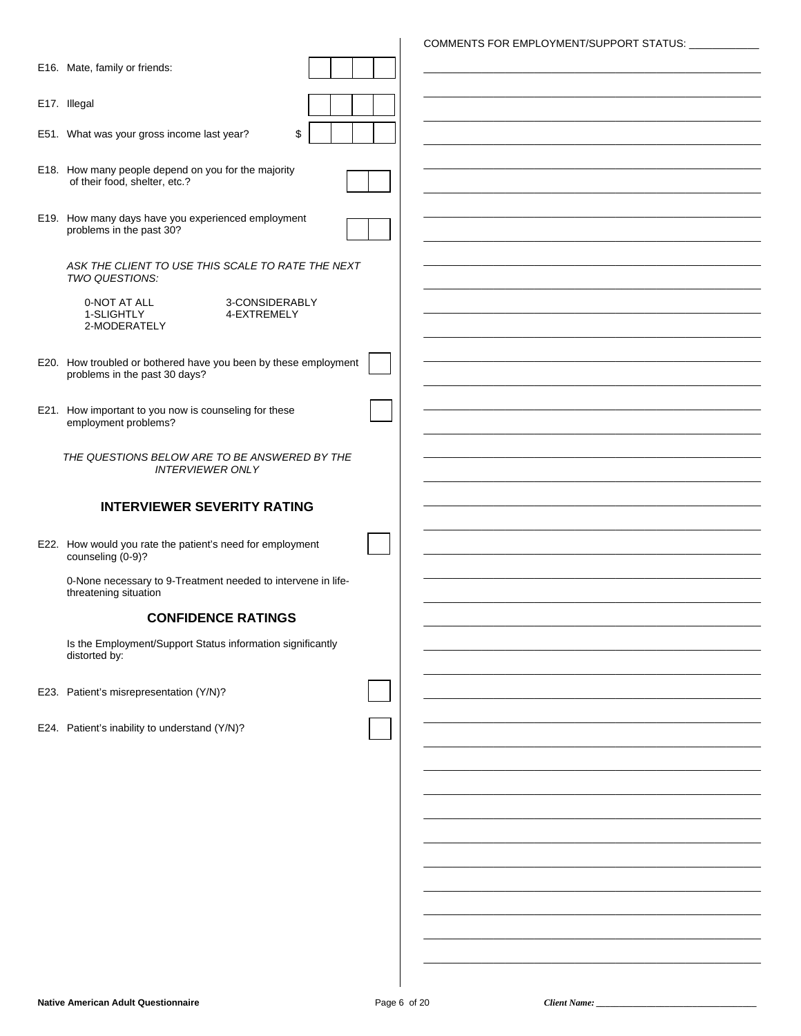|                                                                                                  | COMMENTS FOR EMPLOYMENT/SUPPORT STATUS: ___________ |
|--------------------------------------------------------------------------------------------------|-----------------------------------------------------|
| E16. Mate, family or friends:                                                                    |                                                     |
| E17. Illegal                                                                                     |                                                     |
| \$<br>E51. What was your gross income last year?                                                 |                                                     |
| E18. How many people depend on you for the majority<br>of their food, shelter, etc.?             |                                                     |
| E19. How many days have you experienced employment<br>problems in the past 30?                   |                                                     |
| ASK THE CLIENT TO USE THIS SCALE TO RATE THE NEXT<br>TWO QUESTIONS:                              |                                                     |
| 3-CONSIDERABLY<br>0-NOT AT ALL<br>1-SLIGHTLY<br>4-EXTREMELY<br>2-MODERATELY                      |                                                     |
| E20. How troubled or bothered have you been by these employment<br>problems in the past 30 days? |                                                     |
| E21. How important to you now is counseling for these<br>employment problems?                    |                                                     |
| THE QUESTIONS BELOW ARE TO BE ANSWERED BY THE<br><b>INTERVIEWER ONLY</b>                         |                                                     |
|                                                                                                  |                                                     |
| <b>INTERVIEWER SEVERITY RATING</b>                                                               |                                                     |
| E22. How would you rate the patient's need for employment<br>counseling (0-9)?                   |                                                     |
| 0-None necessary to 9-Treatment needed to intervene in life-<br>threatening situation            |                                                     |
| <b>CONFIDENCE RATINGS</b>                                                                        |                                                     |
| Is the Employment/Support Status information significantly<br>distorted by:                      |                                                     |
| E23. Patient's misrepresentation (Y/N)?                                                          |                                                     |
| E24. Patient's inability to understand (Y/N)?                                                    |                                                     |
|                                                                                                  |                                                     |
|                                                                                                  |                                                     |
|                                                                                                  |                                                     |
|                                                                                                  |                                                     |
|                                                                                                  |                                                     |
|                                                                                                  |                                                     |
|                                                                                                  |                                                     |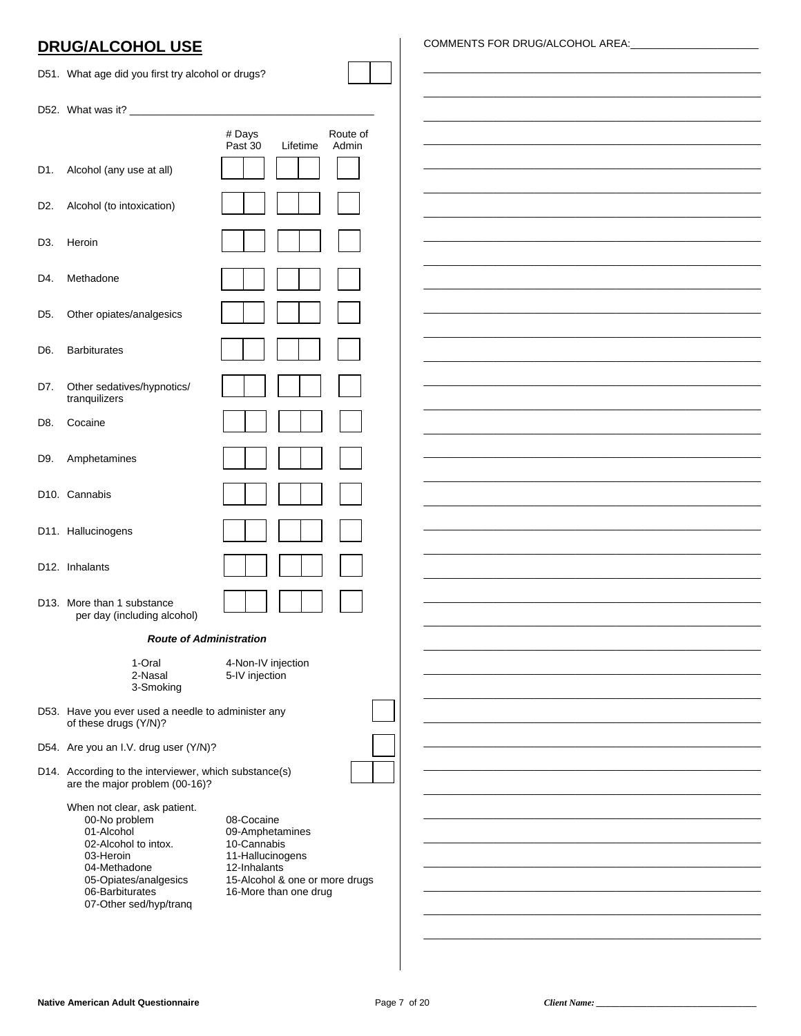|                  | <b>DRUG/ALCOHOL USE</b>                           |                               |                   | COMMENTS FOR DRUG/ALCOHOL AREA: |
|------------------|---------------------------------------------------|-------------------------------|-------------------|---------------------------------|
|                  | D51. What age did you first try alcohol or drugs? |                               |                   |                                 |
|                  |                                                   |                               |                   |                                 |
|                  |                                                   | # Days<br>Past 30<br>Lifetime | Route of<br>Admin |                                 |
| D1.              | Alcohol (any use at all)                          |                               |                   |                                 |
| D <sub>2</sub> . | Alcohol (to intoxication)                         |                               |                   |                                 |
| D <sub>3</sub> . | Heroin                                            |                               |                   |                                 |
| D4.              | Methadone                                         |                               |                   |                                 |
| D <sub>5</sub> . | Other opiates/analgesics                          |                               |                   |                                 |
| D6.              | <b>Barbiturates</b>                               |                               |                   |                                 |
|                  |                                                   |                               |                   |                                 |
| D7.              | Other sedatives/hypnotics/<br>tranquilizers       |                               |                   |                                 |
| D8.              | Cocaine                                           |                               |                   |                                 |
| D9.              | Amphetamines                                      |                               |                   |                                 |
|                  | D10. Cannabis                                     |                               |                   |                                 |
|                  | D11. Hallucinogens                                |                               |                   |                                 |

| 1-Oral<br>2-Nasal<br>3-Smoking | 4-Non-IV in<br>5-IV injectio |
|--------------------------------|------------------------------|
|                                |                              |

**Route of Administration** 

 $4-Nr$  $N$  ir njection  $\overline{on}$ 

- D53. Have you ever used a needle to administer any of these drugs (Y/N)?
- D54. Are you an I.V. drug user (Y/N)?

D12. Inhalants

D13. More than 1 substance

per day (including alcohol)

D14. According to the interviewer, which substance(s) are the major problem (00-16)?

| When not clear, ask patient. |           |
|------------------------------|-----------|
| 00-No problem                | 08-Cocai  |
| 01-Alcohol                   | 09-Amph   |
| 02-Alcohol to intox.         | 10-Canna  |
| 03-Heroin                    | 11-Halluc |
| 04-Methadone                 | 12-Inhala |
| 05-Opiates/analgesics        | 15-Alcoh  |
| 06-Barbiturates              | 16-More   |
| 07-Other sed/hyp/trang       |           |
|                              |           |

ne etamines abis cinogens ants ol & one or more drugs than one drug

Client Name: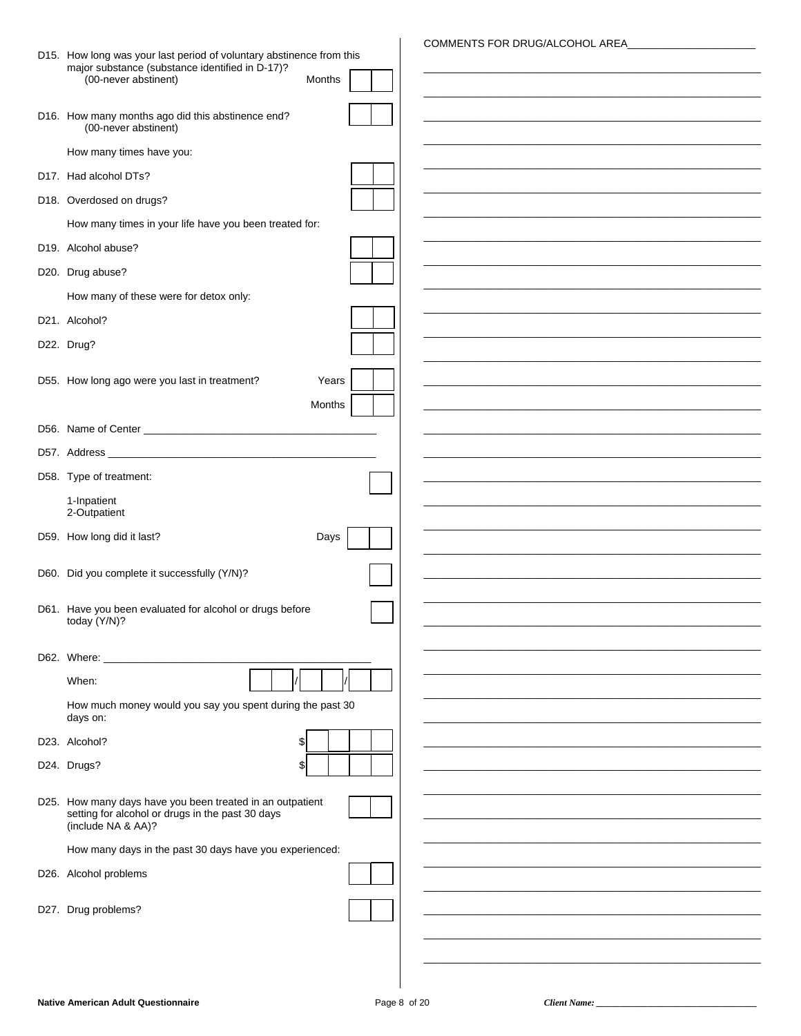|                                                                                                                                     |        |  |  | COMMENTS FOR DRUG/ALCOHOL AREA |
|-------------------------------------------------------------------------------------------------------------------------------------|--------|--|--|--------------------------------|
| D15. How long was your last period of voluntary abstinence from this<br>major substance (substance identified in D-17)?             |        |  |  |                                |
| (00-never abstinent)                                                                                                                | Months |  |  |                                |
|                                                                                                                                     |        |  |  |                                |
| D16. How many months ago did this abstinence end?<br>(00-never abstinent)                                                           |        |  |  |                                |
| How many times have you:                                                                                                            |        |  |  |                                |
| D17. Had alcohol DTs?                                                                                                               |        |  |  |                                |
| D18. Overdosed on drugs?                                                                                                            |        |  |  |                                |
| How many times in your life have you been treated for:                                                                              |        |  |  |                                |
| D19. Alcohol abuse?                                                                                                                 |        |  |  |                                |
| D20. Drug abuse?                                                                                                                    |        |  |  |                                |
| How many of these were for detox only:                                                                                              |        |  |  |                                |
| D21. Alcohol?                                                                                                                       |        |  |  |                                |
| D22. Drug?                                                                                                                          |        |  |  |                                |
|                                                                                                                                     |        |  |  |                                |
| D55. How long ago were you last in treatment?                                                                                       | Years  |  |  |                                |
|                                                                                                                                     | Months |  |  |                                |
|                                                                                                                                     |        |  |  |                                |
|                                                                                                                                     |        |  |  |                                |
| D58. Type of treatment:                                                                                                             |        |  |  |                                |
| 1-Inpatient<br>2-Outpatient                                                                                                         |        |  |  |                                |
| D59. How long did it last?                                                                                                          | Days   |  |  |                                |
|                                                                                                                                     |        |  |  |                                |
| D60. Did you complete it successfully (Y/N)?                                                                                        |        |  |  |                                |
| D61. Have you been evaluated for alcohol or drugs before                                                                            |        |  |  |                                |
| today (Y/N)?                                                                                                                        |        |  |  |                                |
| D62. Where:                                                                                                                         |        |  |  |                                |
| When:                                                                                                                               |        |  |  |                                |
| How much money would you say you spent during the past 30                                                                           |        |  |  |                                |
| days on:                                                                                                                            |        |  |  |                                |
| D23. Alcohol?<br>\$                                                                                                                 |        |  |  |                                |
| D24. Drugs?<br>\$                                                                                                                   |        |  |  |                                |
|                                                                                                                                     |        |  |  |                                |
| D25. How many days have you been treated in an outpatient<br>setting for alcohol or drugs in the past 30 days<br>(include NA & AA)? |        |  |  |                                |
| How many days in the past 30 days have you experienced:                                                                             |        |  |  |                                |
| D26. Alcohol problems                                                                                                               |        |  |  |                                |
|                                                                                                                                     |        |  |  |                                |
| D27. Drug problems?                                                                                                                 |        |  |  |                                |
|                                                                                                                                     |        |  |  |                                |
|                                                                                                                                     |        |  |  |                                |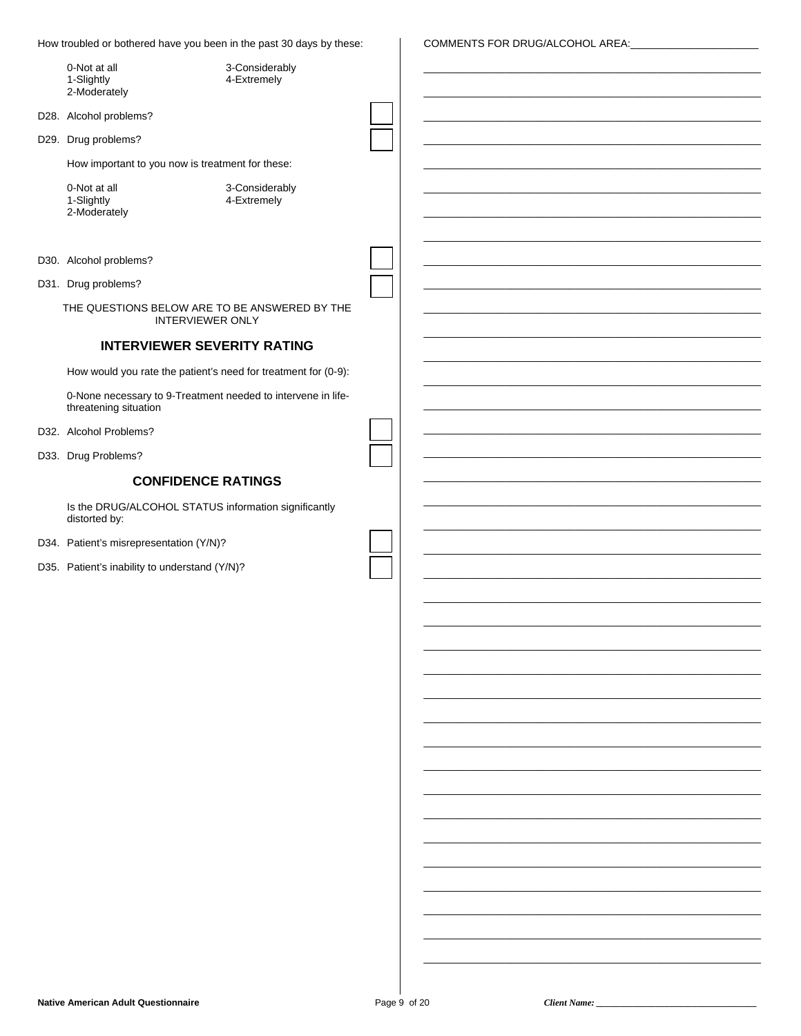How troubled or bothered have you been in the past 30 days by these:

COMMENTS FOR DRUG/ALCOHOL AREA:

| 0-Not at all<br>1-Slightly<br>2-Moderately                                            | 3-Considerably<br>4-Extremely |  |  |  |
|---------------------------------------------------------------------------------------|-------------------------------|--|--|--|
| D28. Alcohol problems?                                                                |                               |  |  |  |
| D29. Drug problems?                                                                   |                               |  |  |  |
| How important to you now is treatment for these:                                      |                               |  |  |  |
| 0-Not at all                                                                          | 3-Considerably                |  |  |  |
| 1-Slightly<br>2-Moderately                                                            | 4-Extremely                   |  |  |  |
|                                                                                       |                               |  |  |  |
| D30. Alcohol problems?                                                                |                               |  |  |  |
| D31. Drug problems?                                                                   |                               |  |  |  |
| THE QUESTIONS BELOW ARE TO BE ANSWERED BY THE<br><b>INTERVIEWER ONLY</b>              |                               |  |  |  |
| <b>INTERVIEWER SEVERITY RATING</b>                                                    |                               |  |  |  |
| How would you rate the patient's need for treatment for (0-9):                        |                               |  |  |  |
| 0-None necessary to 9-Treatment needed to intervene in life-<br>threatening situation |                               |  |  |  |
| D32. Alcohol Problems?                                                                |                               |  |  |  |
| D33. Drug Problems?                                                                   |                               |  |  |  |
| <b>CONFIDENCE RATINGS</b>                                                             |                               |  |  |  |
| Is the DRUG/ALCOHOL STATUS information significantly                                  |                               |  |  |  |
| distorted by:<br>D34. Patient's misrepresentation (Y/N)?                              |                               |  |  |  |
| D35. Patient's inability to understand (Y/N)?                                         |                               |  |  |  |
|                                                                                       |                               |  |  |  |
|                                                                                       |                               |  |  |  |
|                                                                                       |                               |  |  |  |
|                                                                                       |                               |  |  |  |
|                                                                                       |                               |  |  |  |
|                                                                                       |                               |  |  |  |
|                                                                                       |                               |  |  |  |
|                                                                                       |                               |  |  |  |
|                                                                                       |                               |  |  |  |
|                                                                                       |                               |  |  |  |
|                                                                                       |                               |  |  |  |
|                                                                                       |                               |  |  |  |
|                                                                                       |                               |  |  |  |
|                                                                                       |                               |  |  |  |
|                                                                                       |                               |  |  |  |
|                                                                                       |                               |  |  |  |
|                                                                                       |                               |  |  |  |

Client Name: \_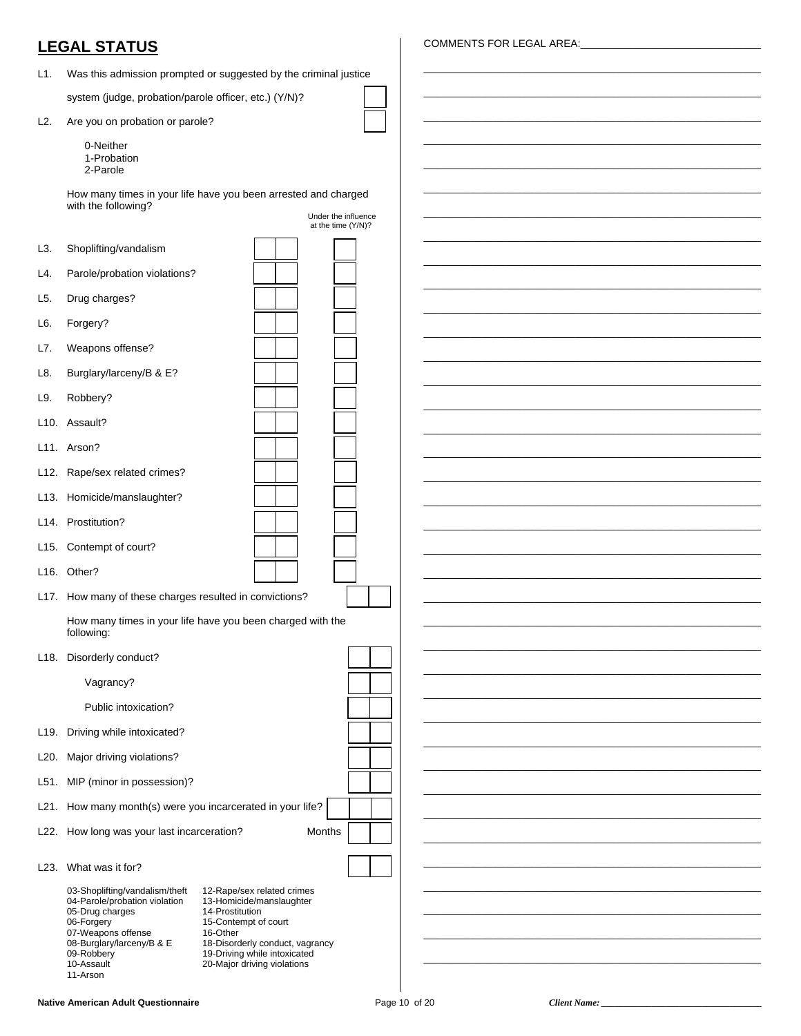## **LEGAL STATUS**

L1. Was this admission prompted or suggested by the criminal justice

system (judge, probation/parole officer, etc.) (Y/N)?

- L2. Are you on probation or parole?
	- 0-Neither 1-Probation 2-Parole

How many times in your life have you been arrested and charged

|                  | with the following?                                                                                                                  | Under the influence |  |
|------------------|--------------------------------------------------------------------------------------------------------------------------------------|---------------------|--|
|                  |                                                                                                                                      | at the time (Y/N)?  |  |
| L3.              | Shoplifting/vandalism                                                                                                                |                     |  |
| L4.              | Parole/probation violations?                                                                                                         |                     |  |
| L <sub>5</sub> . | Drug charges?                                                                                                                        |                     |  |
| L6.              | Forgery?                                                                                                                             |                     |  |
| L7.              | Weapons offense?                                                                                                                     |                     |  |
| L8.              | Burglary/larceny/B & E?                                                                                                              |                     |  |
| L9.              | Robbery?                                                                                                                             |                     |  |
|                  | L10. Assault?                                                                                                                        |                     |  |
|                  | L11. Arson?                                                                                                                          |                     |  |
|                  | L12. Rape/sex related crimes?                                                                                                        |                     |  |
|                  | L13. Homicide/manslaughter?                                                                                                          |                     |  |
|                  | L14. Prostitution?                                                                                                                   |                     |  |
|                  | L15. Contempt of court?                                                                                                              |                     |  |
|                  | L16. Other?                                                                                                                          |                     |  |
|                  | L17. How many of these charges resulted in convictions?                                                                              |                     |  |
|                  | How many times in your life have you been charged with the                                                                           |                     |  |
|                  | following:                                                                                                                           |                     |  |
|                  | L18. Disorderly conduct?                                                                                                             |                     |  |
|                  | Vagrancy?                                                                                                                            |                     |  |
|                  | Public intoxication?                                                                                                                 |                     |  |
|                  | L19. Driving while intoxicated?                                                                                                      |                     |  |
|                  | L20. Major driving violations?                                                                                                       |                     |  |
|                  | L51. MIP (minor in possession)?                                                                                                      |                     |  |
|                  | L21. How many month(s) were you incarcerated in your life?                                                                           |                     |  |
|                  | L22. How long was your last incarceration?<br>Months                                                                                 |                     |  |
|                  | L23. What was it for?                                                                                                                |                     |  |
|                  | 03-Shoplifting/vandalism/theft<br>12-Rape/sex related crimes                                                                         |                     |  |
|                  | 04-Parole/probation violation<br>13-Homicide/manslaughter<br>05-Drug charges<br>14-Prostitution                                      |                     |  |
|                  | 06-Forgery<br>15-Contempt of court<br>07-Weapons offense<br>16-Other<br>08-Burglary/larceny/B & E<br>18-Disorderly conduct, vagrancy |                     |  |
|                  | 09-Robbery<br>19-Driving while intoxicated<br>10-Assault<br>20-Major driving violations                                              |                     |  |
|                  | 11-Arson                                                                                                                             |                     |  |

#### COMMENTS FOR LEGAL AREA:

\_\_\_\_\_\_\_\_\_\_\_\_\_\_\_\_\_\_\_\_\_\_\_\_\_\_\_\_\_\_\_\_\_\_\_\_\_\_\_\_\_\_\_\_\_\_\_\_\_\_\_\_\_\_\_\_\_\_ \_\_\_\_\_\_\_\_\_\_\_\_\_\_\_\_\_\_\_\_\_\_\_\_\_\_\_\_\_\_\_\_\_\_\_\_\_\_\_\_\_\_\_\_\_\_\_\_\_\_\_\_\_\_\_\_\_\_ \_\_\_\_\_\_\_\_\_\_\_\_\_\_\_\_\_\_\_\_\_\_\_\_\_\_\_\_\_\_\_\_\_\_\_\_\_\_\_\_\_\_\_\_\_\_\_\_\_\_\_\_\_\_\_\_\_\_ \_\_\_\_\_\_\_\_\_\_\_\_\_\_\_\_\_\_\_\_\_\_\_\_\_\_\_\_\_\_\_\_\_\_\_\_\_\_\_\_\_\_\_\_\_\_\_\_\_\_\_\_\_\_\_\_\_\_ \_\_\_\_\_\_\_\_\_\_\_\_\_\_\_\_\_\_\_\_\_\_\_\_\_\_\_\_\_\_\_\_\_\_\_\_\_\_\_\_\_\_\_\_\_\_\_\_\_\_\_\_\_\_\_\_\_\_ \_\_\_\_\_\_\_\_\_\_\_\_\_\_\_\_\_\_\_\_\_\_\_\_\_\_\_\_\_\_\_\_\_\_\_\_\_\_\_\_\_\_\_\_\_\_\_\_\_\_\_\_\_\_\_\_\_\_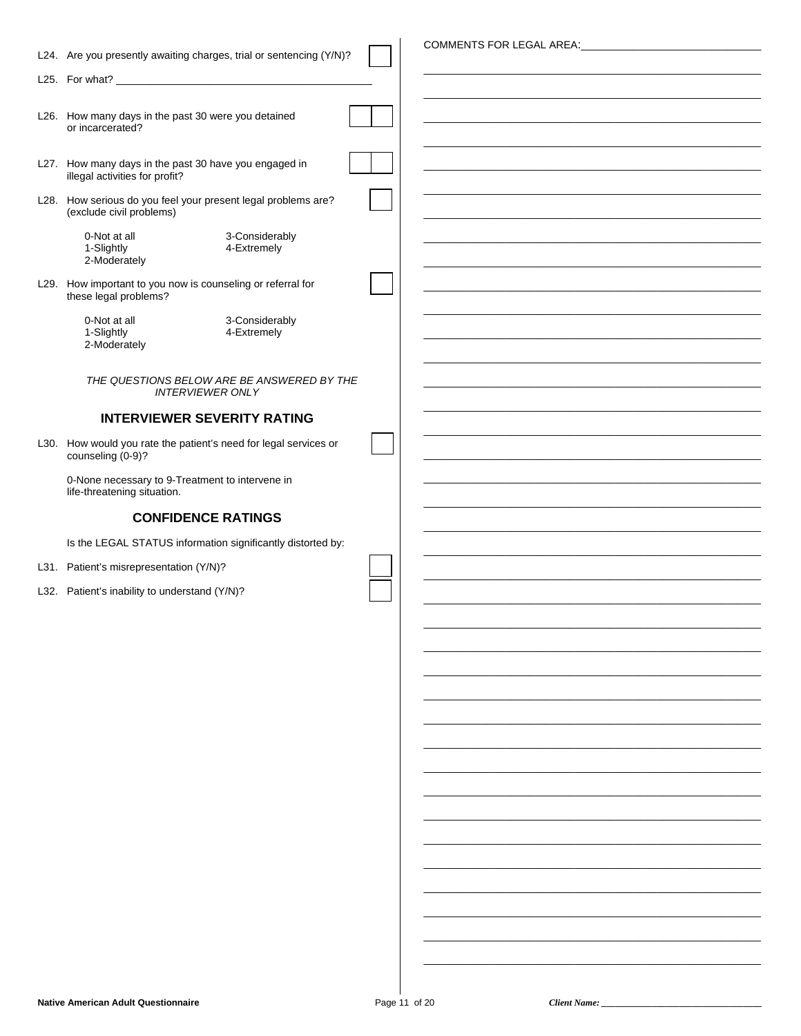| L24. Are you presently awaiting charges, trial or sentencing (Y/N)?                     |  |
|-----------------------------------------------------------------------------------------|--|
|                                                                                         |  |
|                                                                                         |  |
| L26. How many days in the past 30 were you detained                                     |  |
| or incarcerated?                                                                        |  |
|                                                                                         |  |
| L27. How many days in the past 30 have you engaged in<br>illegal activities for profit? |  |
| L28. How serious do you feel your present legal problems are?                           |  |
| (exclude civil problems)                                                                |  |
| 0-Not at all<br>3-Considerably                                                          |  |
| 1-Slightly<br>4-Extremely                                                               |  |
| 2-Moderately                                                                            |  |
| L29. How important to you now is counseling or referral for                             |  |
| these legal problems?                                                                   |  |
| 3-Considerably<br>0-Not at all<br>1-Slightly<br>4-Extremely                             |  |
| 2-Moderately                                                                            |  |
|                                                                                         |  |
| THE QUESTIONS BELOW ARE BE ANSWERED BY THE<br><b>INTERVIEWER ONLY</b>                   |  |
|                                                                                         |  |
| <b>INTERVIEWER SEVERITY RATING</b>                                                      |  |
| L30. How would you rate the patient's need for legal services or                        |  |
| counseling (0-9)?                                                                       |  |
| 0-None necessary to 9-Treatment to intervene in                                         |  |
| life-threatening situation.                                                             |  |
|                                                                                         |  |
| <b>CONFIDENCE RATINGS</b>                                                               |  |
|                                                                                         |  |
| Is the LEGAL STATUS information significantly distorted by:                             |  |
| L31. Patient's misrepresentation (Y/N)?                                                 |  |
| L32. Patient's inability to understand (Y/N)?                                           |  |
|                                                                                         |  |
|                                                                                         |  |
|                                                                                         |  |
|                                                                                         |  |
|                                                                                         |  |
|                                                                                         |  |
|                                                                                         |  |
|                                                                                         |  |
|                                                                                         |  |
|                                                                                         |  |
|                                                                                         |  |
|                                                                                         |  |
|                                                                                         |  |
|                                                                                         |  |
|                                                                                         |  |
|                                                                                         |  |
|                                                                                         |  |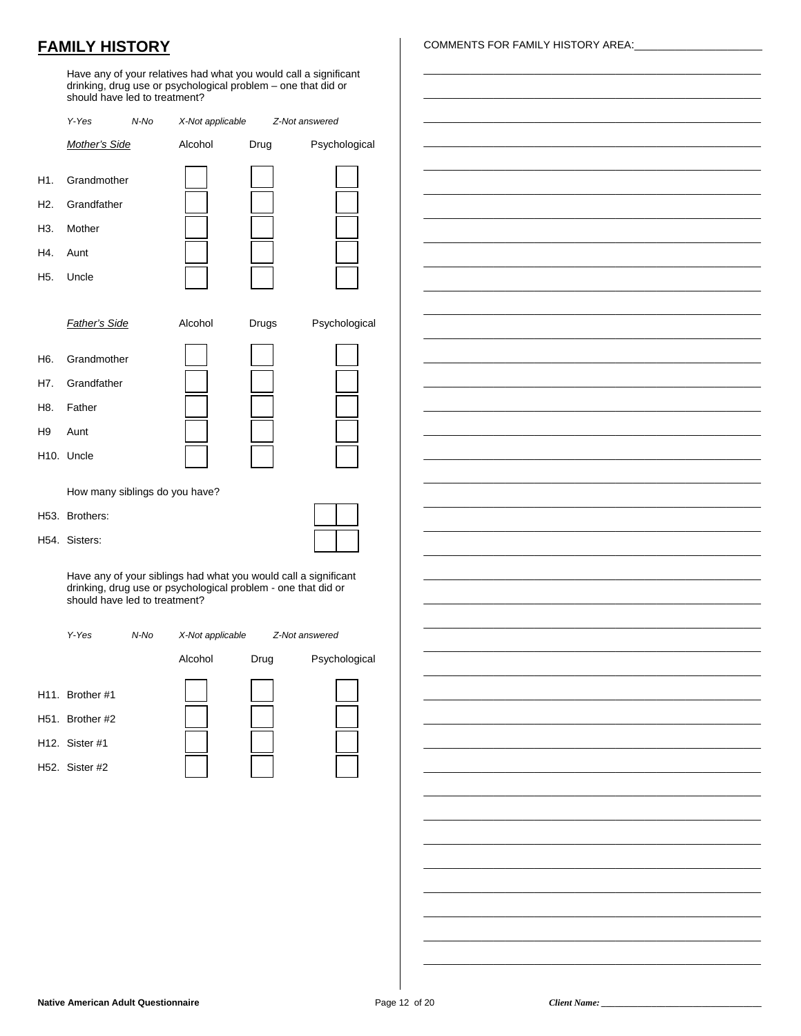## **FAMILY HISTORY**

Have any of your relatives had what you would call a significant drinking, drug use or psychological problem – one that did or should have led to treatment?

|                                 | Y-Yes                                                                   | N-No | X-Not applicable                                                                                                                 | Z-Not answered |                |
|---------------------------------|-------------------------------------------------------------------------|------|----------------------------------------------------------------------------------------------------------------------------------|----------------|----------------|
|                                 | Mother's Side                                                           |      | Alcohol                                                                                                                          | Drug           | Psychological  |
| H1.<br>H2.<br>H3.<br>H4.<br>H5. | Grandmother<br>Grandfather<br>Mother<br>Aunt<br>Uncle                   |      |                                                                                                                                  |                |                |
|                                 | <b>Father's Side</b>                                                    |      | Alcohol                                                                                                                          | Drugs          | Psychological  |
| H6.<br>H7.<br>H8.<br>H9         | Grandmother<br>Grandfather<br>Father<br>Aunt<br>H <sub>10</sub> . Uncle |      |                                                                                                                                  |                |                |
|                                 | How many siblings do you have?                                          |      |                                                                                                                                  |                |                |
|                                 | H53. Brothers:                                                          |      |                                                                                                                                  |                |                |
|                                 | H54. Sisters:                                                           |      |                                                                                                                                  |                |                |
|                                 | should have led to treatment?                                           |      | Have any of your siblings had what you would call a significant<br>drinking, drug use or psychological problem - one that did or |                |                |
|                                 | Y-Yes                                                                   | N-No | X-Not applicable                                                                                                                 |                | Z-Not answered |
|                                 |                                                                         |      | Alcohol                                                                                                                          | Drug           | Psychological  |
|                                 | H11. Brother #1<br>H51. Brother #2<br>H12. Sister #1<br>H52. Sister #2  |      |                                                                                                                                  |                |                |

COMMENTS FOR FAMILY HISTORY AREA:

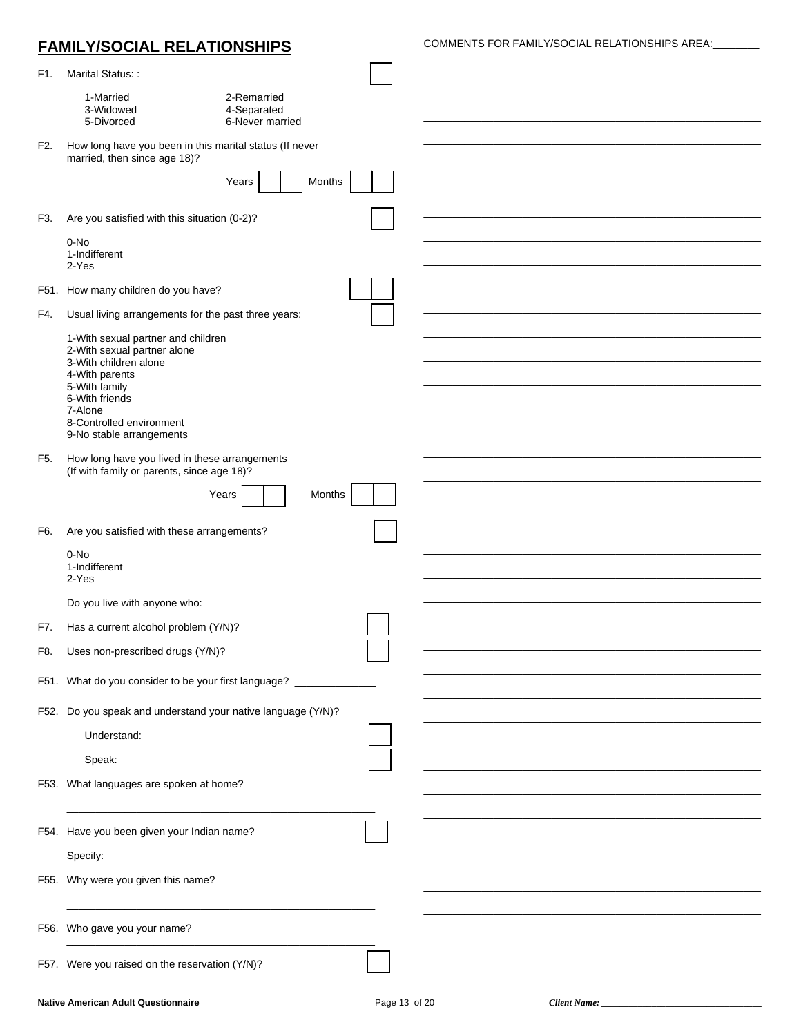|     | <b>FAMILY/SOCIAL RELATIONSHIPS</b>                                                          |                                               | COMMENTS FOR FAMILY/SOCIAL RELATIONSHIPS AREA: |  |
|-----|---------------------------------------------------------------------------------------------|-----------------------------------------------|------------------------------------------------|--|
| F1. | Marital Status::                                                                            |                                               |                                                |  |
|     | 1-Married<br>3-Widowed<br>5-Divorced                                                        | 2-Remarried<br>4-Separated<br>6-Never married |                                                |  |
| F2. | How long have you been in this marital status (If never<br>married, then since age 18)?     |                                               |                                                |  |
|     |                                                                                             | Years<br>Months                               |                                                |  |
| F3. | Are you satisfied with this situation (0-2)?                                                |                                               |                                                |  |
|     | 0-No<br>1-Indifferent<br>2-Yes                                                              |                                               |                                                |  |
|     | F51. How many children do you have?                                                         |                                               |                                                |  |
| F4. | Usual living arrangements for the past three years:                                         |                                               |                                                |  |
|     | 1-With sexual partner and children<br>2-With sexual partner alone                           |                                               |                                                |  |
|     | 3-With children alone<br>4-With parents                                                     |                                               |                                                |  |
|     | 5-With family<br>6-With friends                                                             |                                               |                                                |  |
|     | 7-Alone<br>8-Controlled environment                                                         |                                               |                                                |  |
|     | 9-No stable arrangements                                                                    |                                               |                                                |  |
| F5. | How long have you lived in these arrangements<br>(If with family or parents, since age 18)? |                                               |                                                |  |
|     |                                                                                             | Months<br>Years                               |                                                |  |
|     |                                                                                             |                                               |                                                |  |
| F6. | Are you satisfied with these arrangements?<br>$0-NO$                                        |                                               |                                                |  |
|     | 1-Indifferent<br>2-Yes                                                                      |                                               |                                                |  |
|     | Do you live with anyone who:                                                                |                                               |                                                |  |
| F7. | Has a current alcohol problem (Y/N)?                                                        |                                               |                                                |  |
| F8. | Uses non-prescribed drugs (Y/N)?                                                            |                                               |                                                |  |
|     | F51. What do you consider to be your first language? ________                               |                                               |                                                |  |
|     | F52. Do you speak and understand your native language (Y/N)?                                |                                               |                                                |  |
|     | Understand:                                                                                 |                                               |                                                |  |
|     | Speak:                                                                                      |                                               |                                                |  |
|     |                                                                                             |                                               |                                                |  |
|     |                                                                                             |                                               |                                                |  |
|     | F54. Have you been given your Indian name?                                                  |                                               |                                                |  |
|     |                                                                                             |                                               |                                                |  |
|     |                                                                                             |                                               |                                                |  |
|     |                                                                                             |                                               |                                                |  |
|     | F56. Who gave you your name?                                                                |                                               |                                                |  |
|     | F57. Were you raised on the reservation (Y/N)?                                              |                                               |                                                |  |
|     |                                                                                             |                                               |                                                |  |

Client Name: \_\_\_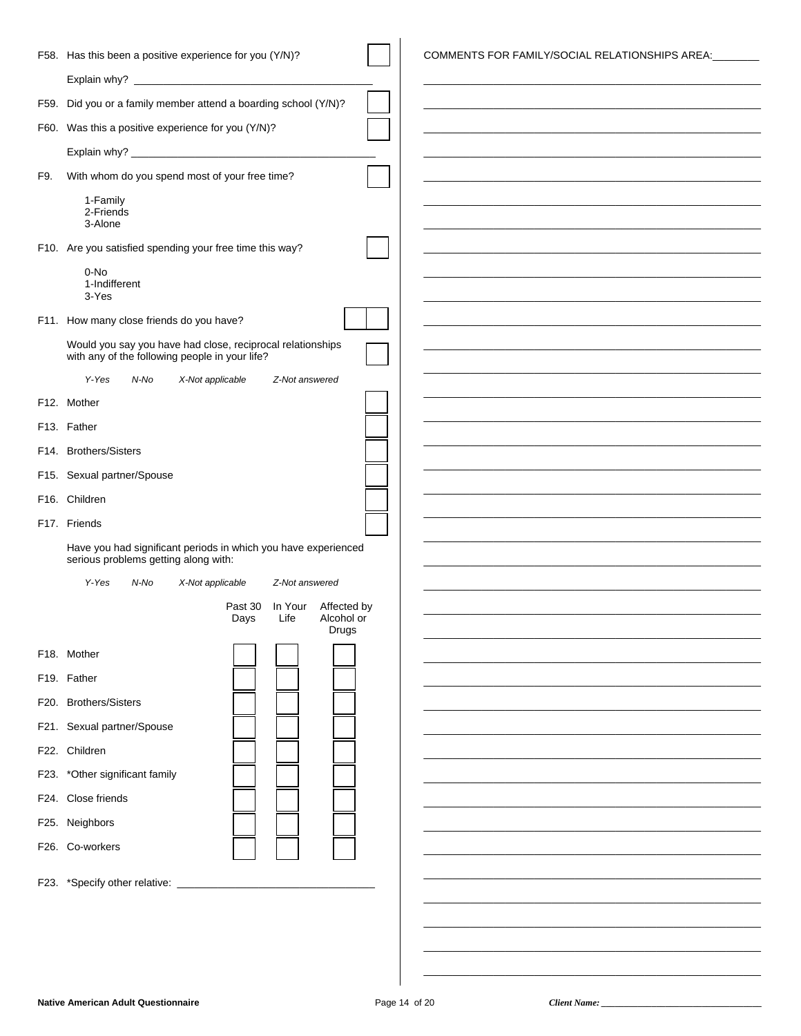| F58. Has this been a positive experience for you (Y/N)?<br>COMMENTS FOR FAMILY/SOCIAL RELATIONSHIPS AREA: ______<br>F59. Did you or a family member attend a boarding school (Y/N)?<br>F60. Was this a positive experience for you (Y/N)?<br>With whom do you spend most of your free time?<br>F9.<br>1-Family |  |
|----------------------------------------------------------------------------------------------------------------------------------------------------------------------------------------------------------------------------------------------------------------------------------------------------------------|--|
|                                                                                                                                                                                                                                                                                                                |  |
|                                                                                                                                                                                                                                                                                                                |  |
|                                                                                                                                                                                                                                                                                                                |  |
|                                                                                                                                                                                                                                                                                                                |  |
|                                                                                                                                                                                                                                                                                                                |  |
|                                                                                                                                                                                                                                                                                                                |  |
| 2-Friends<br>3-Alone                                                                                                                                                                                                                                                                                           |  |
|                                                                                                                                                                                                                                                                                                                |  |
| F10. Are you satisfied spending your free time this way?                                                                                                                                                                                                                                                       |  |
| 0-No<br>1-Indifferent<br>3-Yes                                                                                                                                                                                                                                                                                 |  |
| F11. How many close friends do you have?                                                                                                                                                                                                                                                                       |  |
| Would you say you have had close, reciprocal relationships                                                                                                                                                                                                                                                     |  |
| with any of the following people in your life?                                                                                                                                                                                                                                                                 |  |
| Y-Yes<br>N-No<br>X-Not applicable<br>Z-Not answered                                                                                                                                                                                                                                                            |  |
| F12. Mother                                                                                                                                                                                                                                                                                                    |  |
| F13. Father                                                                                                                                                                                                                                                                                                    |  |
| F14. Brothers/Sisters                                                                                                                                                                                                                                                                                          |  |
| F15. Sexual partner/Spouse                                                                                                                                                                                                                                                                                     |  |
| F16. Children                                                                                                                                                                                                                                                                                                  |  |
| F17. Friends                                                                                                                                                                                                                                                                                                   |  |
| Have you had significant periods in which you have experienced<br>serious problems getting along with:                                                                                                                                                                                                         |  |
| Y-Yes<br>N-No<br>X-Not applicable<br>Z-Not answered                                                                                                                                                                                                                                                            |  |
| Past 30 In Your Affected by                                                                                                                                                                                                                                                                                    |  |
| Life<br>Alcohol or<br>Days<br>Drugs                                                                                                                                                                                                                                                                            |  |
| F18. Mother                                                                                                                                                                                                                                                                                                    |  |
| F <sub>19</sub> . Father                                                                                                                                                                                                                                                                                       |  |
| F20. Brothers/Sisters                                                                                                                                                                                                                                                                                          |  |
|                                                                                                                                                                                                                                                                                                                |  |
| F21. Sexual partner/Spouse                                                                                                                                                                                                                                                                                     |  |
| F22. Children                                                                                                                                                                                                                                                                                                  |  |
| F23. *Other significant family                                                                                                                                                                                                                                                                                 |  |
| F24. Close friends                                                                                                                                                                                                                                                                                             |  |
| F25. Neighbors                                                                                                                                                                                                                                                                                                 |  |
| F26. Co-workers                                                                                                                                                                                                                                                                                                |  |
|                                                                                                                                                                                                                                                                                                                |  |
|                                                                                                                                                                                                                                                                                                                |  |
|                                                                                                                                                                                                                                                                                                                |  |
|                                                                                                                                                                                                                                                                                                                |  |
|                                                                                                                                                                                                                                                                                                                |  |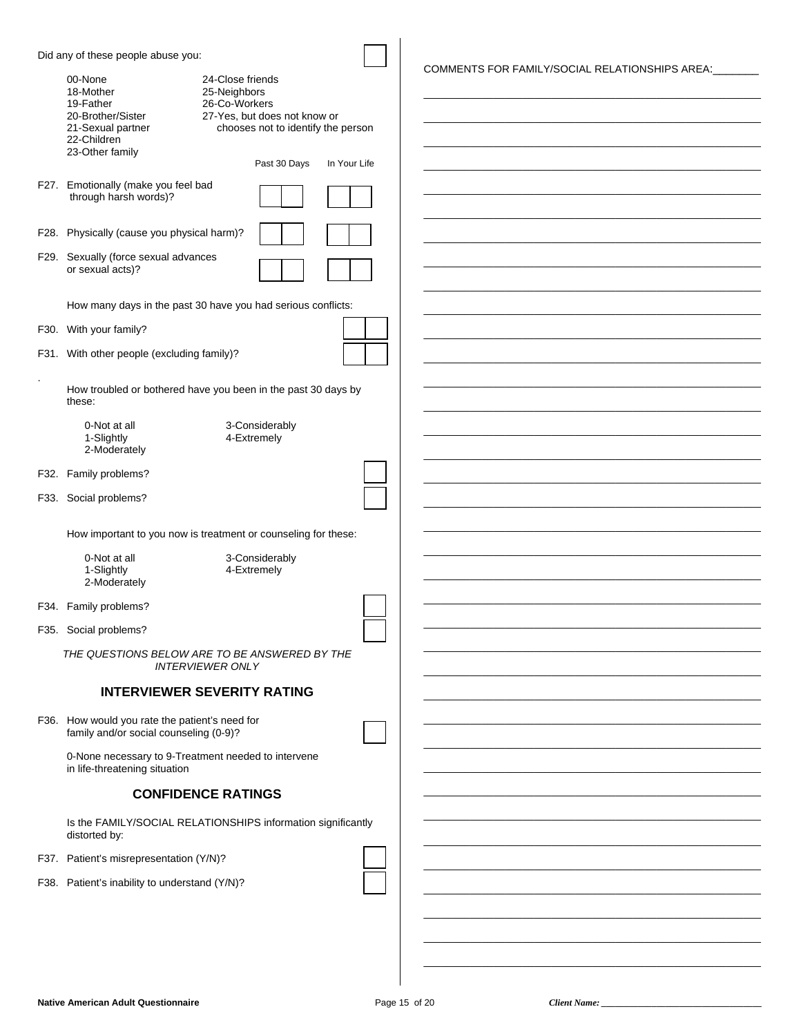| Did any of these people abuse you:                                                                                                                                                                                                                       |              |                                                |
|----------------------------------------------------------------------------------------------------------------------------------------------------------------------------------------------------------------------------------------------------------|--------------|------------------------------------------------|
| 24-Close friends<br>00-None<br>25-Neighbors<br>18-Mother<br>19-Father<br>26-Co-Workers<br>20-Brother/Sister<br>27-Yes, but does not know or<br>chooses not to identify the person<br>21-Sexual partner<br>22-Children<br>23-Other family<br>Past 30 Days | In Your Life | COMMENTS FOR FAMILY/SOCIAL RELATIONSHIPS AREA: |
| F27. Emotionally (make you feel bad<br>through harsh words)?                                                                                                                                                                                             |              |                                                |
| F28. Physically (cause you physical harm)?                                                                                                                                                                                                               |              |                                                |
| F29. Sexually (force sexual advances<br>or sexual acts)?                                                                                                                                                                                                 |              |                                                |
| How many days in the past 30 have you had serious conflicts:                                                                                                                                                                                             |              |                                                |
| F30. With your family?                                                                                                                                                                                                                                   |              |                                                |
| F31. With other people (excluding family)?                                                                                                                                                                                                               |              |                                                |
| How troubled or bothered have you been in the past 30 days by<br>these:                                                                                                                                                                                  |              |                                                |
| 3-Considerably<br>0-Not at all<br>1-Slightly<br>4-Extremely<br>2-Moderately                                                                                                                                                                              |              |                                                |
| F32. Family problems?                                                                                                                                                                                                                                    |              |                                                |
| F33. Social problems?                                                                                                                                                                                                                                    |              |                                                |
| How important to you now is treatment or counseling for these:                                                                                                                                                                                           |              |                                                |
| 3-Considerably<br>0-Not at all<br>1-Slightly<br>4-Extremely<br>2-Moderately                                                                                                                                                                              |              |                                                |
| F34. Family problems?                                                                                                                                                                                                                                    |              |                                                |
| F35. Social problems?                                                                                                                                                                                                                                    |              |                                                |
| THE QUESTIONS BELOW ARE TO BE ANSWERED BY THE<br><b>INTERVIEWER ONLY</b>                                                                                                                                                                                 |              |                                                |
| <b>INTERVIEWER SEVERITY RATING</b>                                                                                                                                                                                                                       |              |                                                |
| F36. How would you rate the patient's need for<br>family and/or social counseling (0-9)?                                                                                                                                                                 |              |                                                |
| 0-None necessary to 9-Treatment needed to intervene<br>in life-threatening situation                                                                                                                                                                     |              |                                                |
| <b>CONFIDENCE RATINGS</b>                                                                                                                                                                                                                                |              |                                                |
| Is the FAMILY/SOCIAL RELATIONSHIPS information significantly<br>distorted by:                                                                                                                                                                            |              |                                                |
| F37. Patient's misrepresentation (Y/N)?                                                                                                                                                                                                                  |              |                                                |
| F38. Patient's inability to understand (Y/N)?                                                                                                                                                                                                            |              |                                                |
|                                                                                                                                                                                                                                                          |              |                                                |
|                                                                                                                                                                                                                                                          |              |                                                |
|                                                                                                                                                                                                                                                          |              |                                                |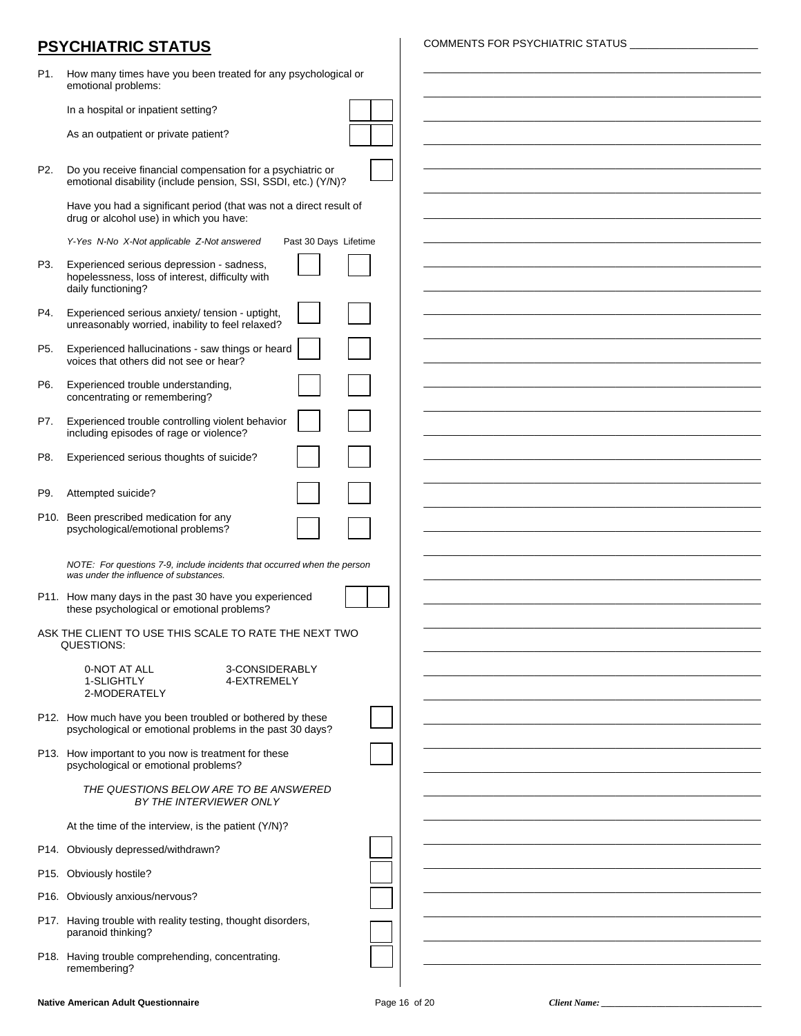## **PSYCHIATRIC STATUS**

| COMMENTS FOR PSYCHIATRIC STATUS |  |
|---------------------------------|--|
|---------------------------------|--|

| P1.            | How many times have you been treated for any psychological or<br>emotional problems:                                  |  |
|----------------|-----------------------------------------------------------------------------------------------------------------------|--|
|                | In a hospital or inpatient setting?                                                                                   |  |
|                | As an outpatient or private patient?                                                                                  |  |
| P <sub>2</sub> | Do you receive financial compensation for a psychiatric or                                                            |  |
|                | emotional disability (include pension, SSI, SSDI, etc.) (Y/N)?                                                        |  |
|                | Have you had a significant period (that was not a direct result of<br>drug or alcohol use) in which you have:         |  |
|                | Y-Yes N-No X-Not applicable Z-Not answered<br>Past 30 Days Lifetime                                                   |  |
| P3.            | Experienced serious depression - sadness,<br>hopelessness, loss of interest, difficulty with<br>daily functioning?    |  |
| P4.            | Experienced serious anxiety/ tension - uptight,<br>unreasonably worried, inability to feel relaxed?                   |  |
| P5.            | Experienced hallucinations - saw things or heard<br>voices that others did not see or hear?                           |  |
| P6.            | Experienced trouble understanding,<br>concentrating or remembering?                                                   |  |
| P7.            | Experienced trouble controlling violent behavior                                                                      |  |
|                | including episodes of rage or violence?                                                                               |  |
| P8.            | Experienced serious thoughts of suicide?                                                                              |  |
| P9.            | Attempted suicide?                                                                                                    |  |
|                | P10. Been prescribed medication for any<br>psychological/emotional problems?                                          |  |
|                |                                                                                                                       |  |
|                | NOTE: For questions 7-9, include incidents that occurred when the person<br>was under the influence of substances.    |  |
|                | P11. How many days in the past 30 have you experienced<br>these psychological or emotional problems?                  |  |
|                | ASK THE CLIENT TO USE THIS SCALE TO RATE THE NEXT TWO<br>QUESTIONS:                                                   |  |
|                | 0-NOT AT ALL<br>3-CONSIDERABLY                                                                                        |  |
|                | 1-SLIGHTLY<br>4-EXTREMELY<br>2-MODERATELY                                                                             |  |
|                | P12. How much have you been troubled or bothered by these<br>psychological or emotional problems in the past 30 days? |  |
|                | P13. How important to you now is treatment for these                                                                  |  |
|                | psychological or emotional problems?                                                                                  |  |
|                | THE QUESTIONS BELOW ARE TO BE ANSWERED<br>BY THE INTERVIEWER ONLY                                                     |  |
|                | At the time of the interview, is the patient (Y/N)?                                                                   |  |
|                | P14. Obviously depressed/withdrawn?                                                                                   |  |
|                | P15. Obviously hostile?                                                                                               |  |
|                | P16. Obviously anxious/nervous?                                                                                       |  |
|                | P17. Having trouble with reality testing, thought disorders,<br>paranoid thinking?                                    |  |
|                | P18. Having trouble comprehending, concentrating.                                                                     |  |
|                | remembering?                                                                                                          |  |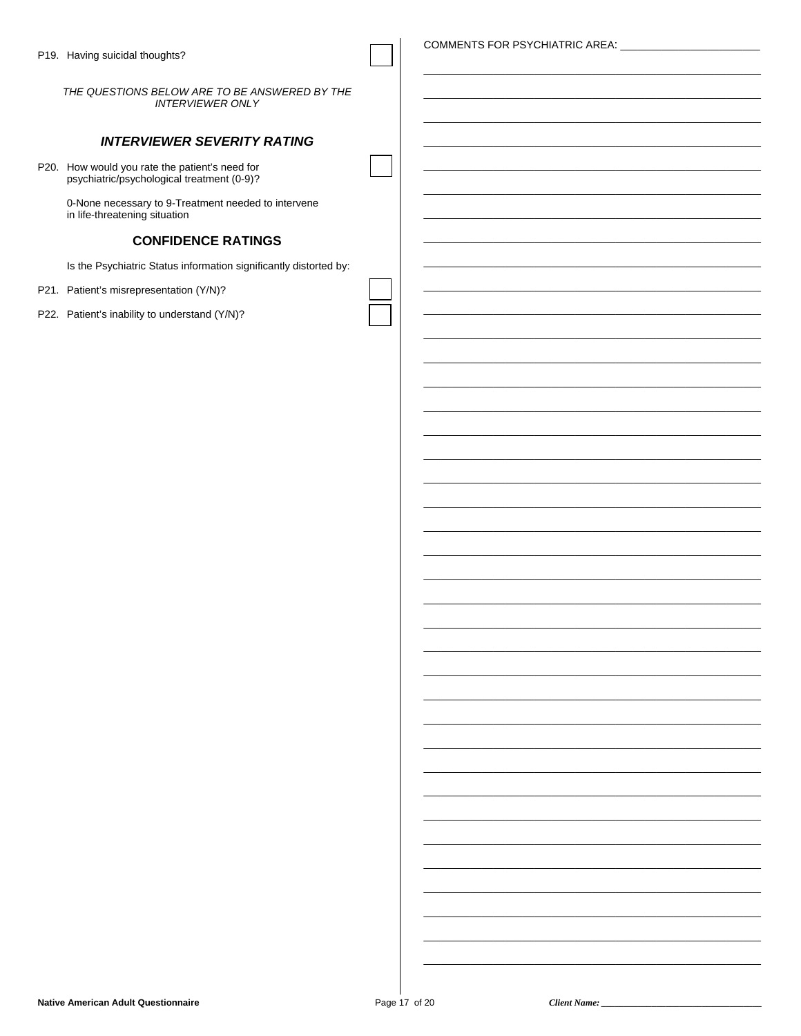COMMENTS FOR PSYCHIATRIC AREA:

THE QUESTIONS BELOW ARE TO BE ANSWERED BY THE **INTERVIEWER ONLY** 

#### **INTERVIEWER SEVERITY RATING**

P20. How would you rate the patient's need for<br>psychiatric/psychological treatment (0-9)?

0-None necessary to 9-Treatment needed to intervene in life-threatening situation

#### **CONFIDENCE RATINGS**

Is the Psychiatric Status information significantly distorted by:

- P21. Patient's misrepresentation (Y/N)?
- P22. Patient's inability to understand (Y/N)?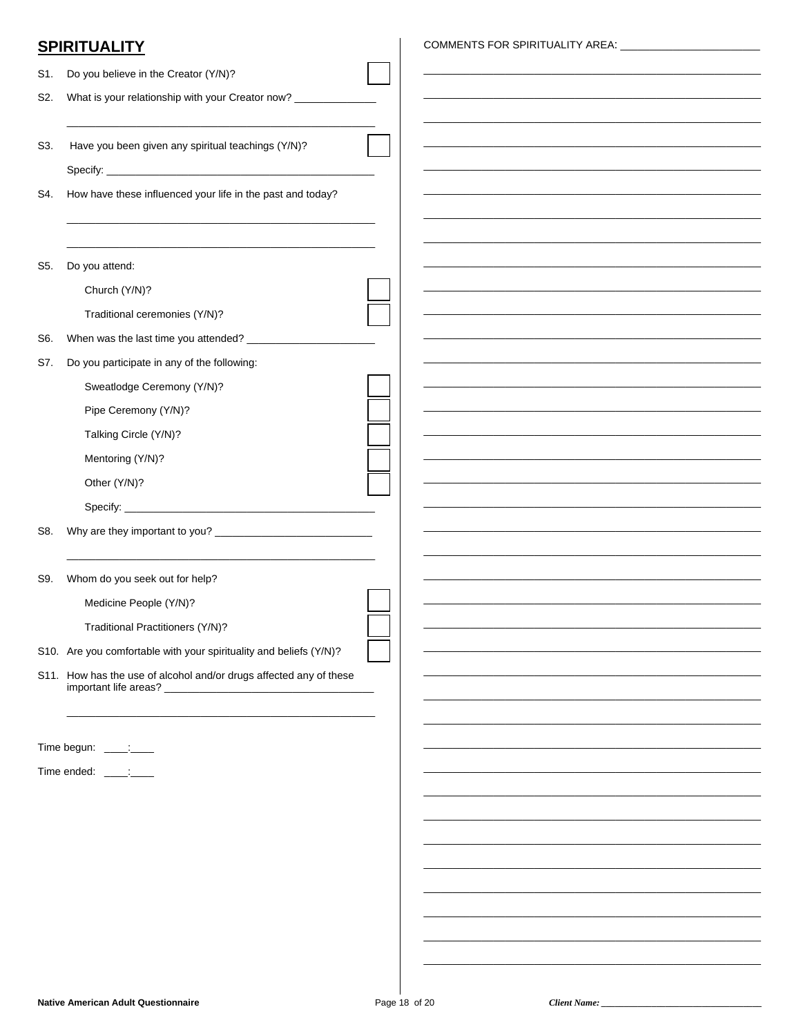## **SPIRITUALITY**

| S1. | Do you believe in the Creator (Y/N)?                               |  |
|-----|--------------------------------------------------------------------|--|
| S2. | What is your relationship with your Creator now? ___________       |  |
|     |                                                                    |  |
| S3. | Have you been given any spiritual teachings (Y/N)?                 |  |
|     |                                                                    |  |
| S4. | How have these influenced your life in the past and today?         |  |
|     |                                                                    |  |
|     |                                                                    |  |
| S5. | Do you attend:                                                     |  |
|     | Church (Y/N)?                                                      |  |
|     | Traditional ceremonies (Y/N)?                                      |  |
| S6. |                                                                    |  |
| S7. | Do you participate in any of the following:                        |  |
|     | Sweatlodge Ceremony (Y/N)?                                         |  |
|     | Pipe Ceremony (Y/N)?                                               |  |
|     | Talking Circle (Y/N)?                                              |  |
|     | Mentoring (Y/N)?                                                   |  |
|     | Other (Y/N)?                                                       |  |
|     |                                                                    |  |
| S8. |                                                                    |  |
|     |                                                                    |  |
| S9. | Whom do you seek out for help?                                     |  |
|     | Medicine People (Y/N)?                                             |  |
|     | Traditional Practitioners (Y/N)?                                   |  |
|     | S10. Are you comfortable with your spirituality and beliefs (Y/N)? |  |
|     | S11. How has the use of alcohol and/or drugs affected any of these |  |
|     | important life areas? _                                            |  |
|     |                                                                    |  |
|     | Time begun: _____:____                                             |  |
|     | Time ended: ____:____                                              |  |
|     |                                                                    |  |
|     |                                                                    |  |
|     |                                                                    |  |
|     |                                                                    |  |
|     |                                                                    |  |
|     |                                                                    |  |
|     |                                                                    |  |
|     |                                                                    |  |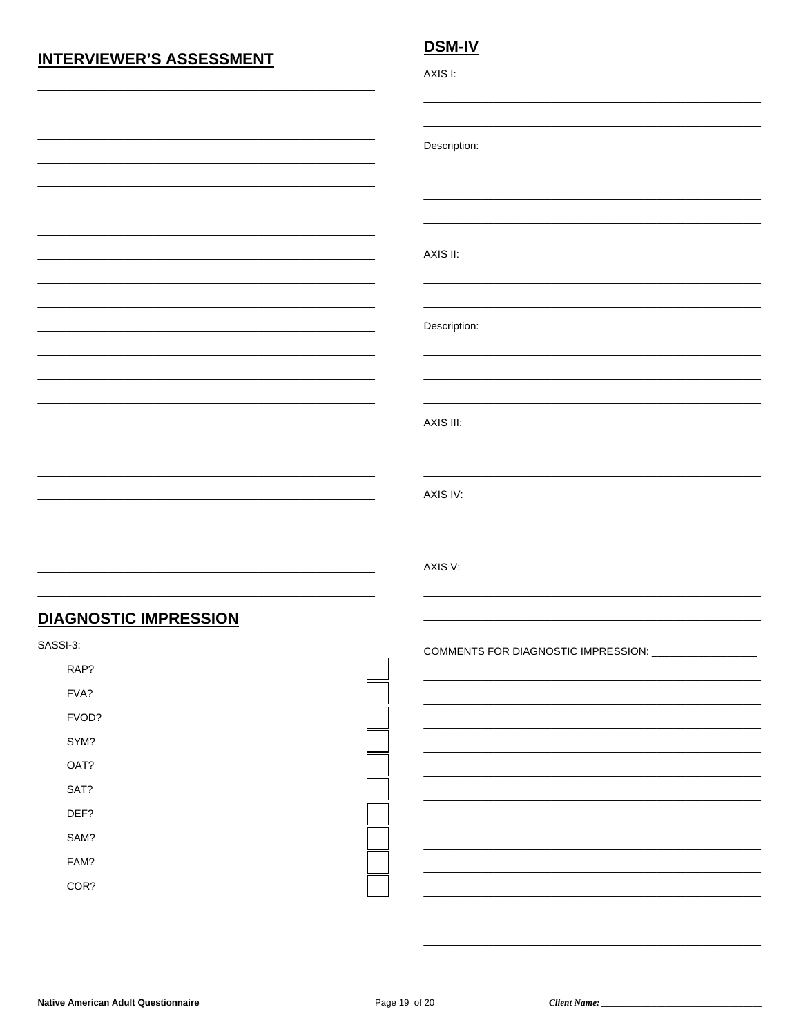## **INTERVIEWER'S ASSESSMENT**

### **DSM-IV**

| ۰. |  |
|----|--|

Description:

AXIS II:

#### Description:

AXIS III:

#### AXIS IV:

AXIS V:

### **DIAGNOSTIC IMPRESSION**

SASSI-3:

| RAP?  |  |
|-------|--|
| FVA?  |  |
| FVOD? |  |
| SYM?  |  |
| OAT?  |  |
| SAT?  |  |
| DEF?  |  |
| SAM?  |  |
| FAM?  |  |
| COR?  |  |

COMMENTS FOR DIAGNOSTIC IMPRESSION: \_\_